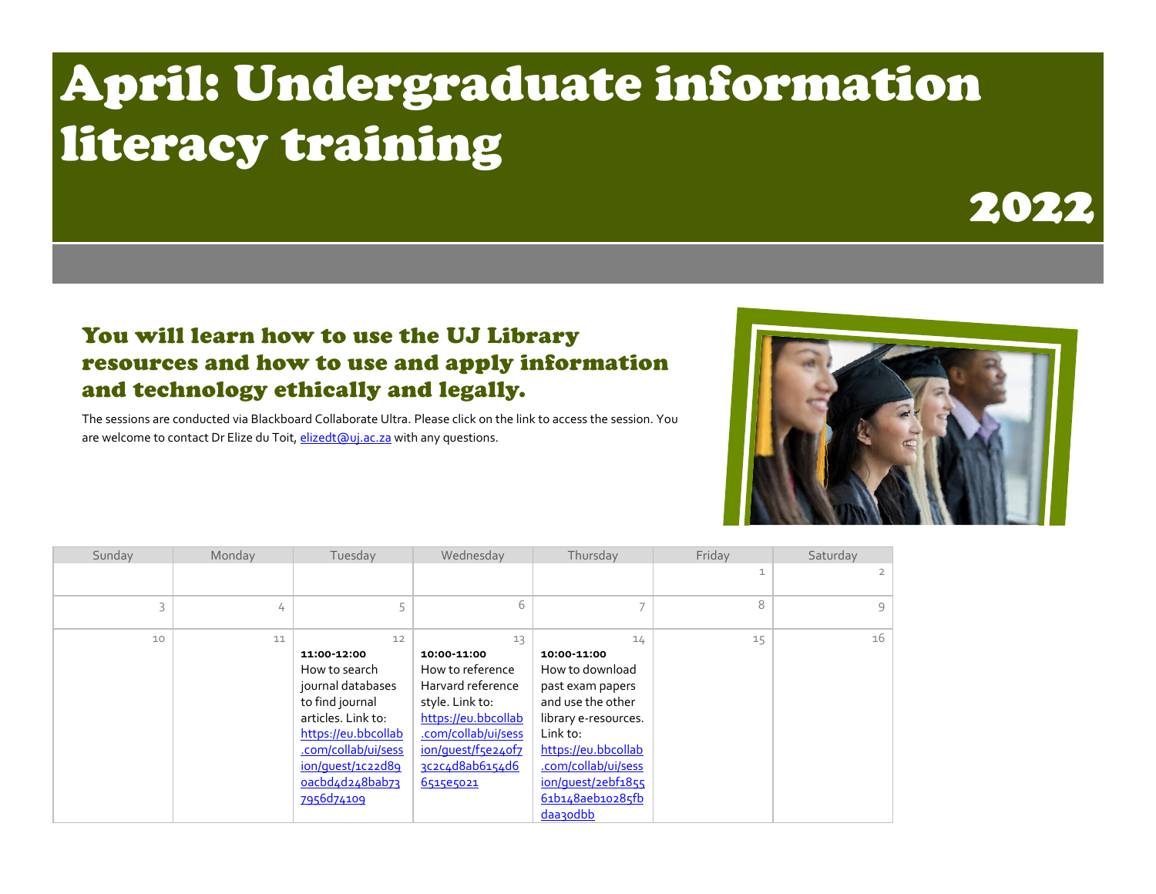## April: Undergraduate information literacy training



## You will learn how to use the UJ Library resources and how to use and apply information and technology ethically and legally.

The sessions are conducted via Blackboard Collaborate Ultra. Please click on the link to access the session. You are welcome to contact Dr Elize du Toit, elizedt (auj.ac.za with any questions.



| Sunday | Monday | Tuesday             | Wednesday           | Thursday             | Friday | Saturday |
|--------|--------|---------------------|---------------------|----------------------|--------|----------|
|        |        |                     |                     |                      | 1      |          |
|        |        |                     |                     |                      |        |          |
|        | 4      |                     | 6                   |                      | 8      | $\circ$  |
|        |        |                     |                     |                      |        |          |
| 10     | 11     | 12                  | 13                  | 14                   | 15     | 16       |
|        |        | 11:00-12:00         | 10:00-11:00         | 10:00-11:00          |        |          |
|        |        | How to search       | How to reference    | How to download      |        |          |
|        |        | journal databases   | Harvard reference   | past exam papers     |        |          |
|        |        | to find journal     | style. Link to:     | and use the other    |        |          |
|        |        | articles. Link to:  | https://eu.bbcollab | library e-resources. |        |          |
|        |        | https://eu.bbcollab | .com/collab/ui/sess | Link to:             |        |          |
|        |        | .com/collab/ui/sess | ion/quest/f5e24of7  | https://eu.bbcollab  |        |          |
|        |        | ion/quest/1c22d89   | 3c2c4d8ab6154d6     | .com/collab/ui/sess  |        |          |
|        |        | oacbd4d248bab73     | 6515e5021           | ion/quest/2ebf1855   |        |          |
|        |        | 7956d74109          |                     | 61b148aeb10285fb     |        |          |
|        |        |                     |                     | daa3odbb             |        |          |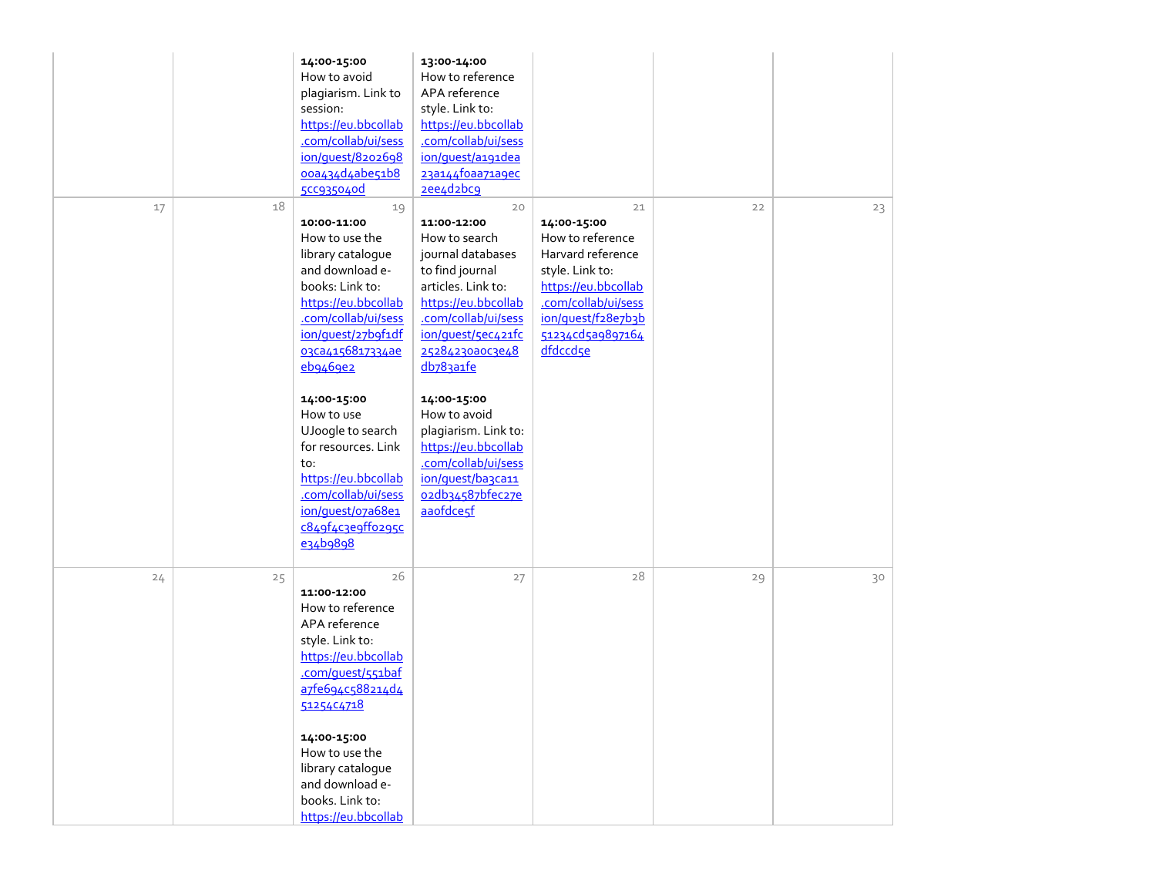|          | 14:00-15:00<br>How to avoid<br>plagiarism. Link to<br>session:<br>https://eu.bbcollab<br>.com/collab/ui/sess<br>ion/quest/8202698<br>00a434d4abe51b8<br>5CC935040d                                                                                                                                                                                                                     | 13:00-14:00<br>How to reference<br>APA reference<br>style. Link to:<br>https://eu.bbcollab<br>.com/collab/ui/sess<br>ion/quest/a191dea<br>23a144foaa71a9ec<br>2ee4d2bc9                                                                                                                                                                                         |                                                                                                                                                                                   |    |    |
|----------|----------------------------------------------------------------------------------------------------------------------------------------------------------------------------------------------------------------------------------------------------------------------------------------------------------------------------------------------------------------------------------------|-----------------------------------------------------------------------------------------------------------------------------------------------------------------------------------------------------------------------------------------------------------------------------------------------------------------------------------------------------------------|-----------------------------------------------------------------------------------------------------------------------------------------------------------------------------------|----|----|
| 18<br>17 | 19<br>10:00-11:00<br>How to use the<br>library catalogue<br>and download e-<br>books: Link to:<br>https://eu.bbcollab<br>.com/collab/ui/sess<br>ion/quest/27b9f1df<br>03Ca4156817334ae<br>eb9469e2<br>14:00-15:00<br>How to use<br>UJoogle to search<br>for resources. Link<br>to:<br>https://eu.bbcollab<br>.com/collab/ui/sess<br>ion/quest/o7a68e1<br>c849f4c3e9ff0295c<br>e34b9898 | 20<br>11:00-12:00<br>How to search<br>journal databases<br>to find journal<br>articles. Link to:<br>https://eu.bbcollab<br>.com/collab/ui/sess<br>ion/quest/5ec421fc<br>25284230a0c3e48<br>db783a1fe<br>14:00-15:00<br>How to avoid<br>plagiarism. Link to:<br>https://eu.bbcollab<br>.com/collab/ui/sess<br>ion/quest/ba3ca11<br>02db34587bfec27e<br>aaofdcesf | 21<br>14:00-15:00<br>How to reference<br>Harvard reference<br>style. Link to:<br>https://eu.bbcollab<br>.com/collab/ui/sess<br>ion/quest/f28e7b3b<br>51234cd5a9897164<br>dfdccdse | 22 | 23 |
| 24<br>25 | 26<br>11:00-12:00<br>How to reference<br>APA reference<br>style. Link to:<br>https://eu.bbcollab<br>.com/quest/551baf<br>a7fe694c588214d4<br>51254C4718<br>14:00-15:00<br>How to use the<br>library catalogue<br>and download e-<br>books. Link to:<br>https://eu.bbcollab                                                                                                             | 27                                                                                                                                                                                                                                                                                                                                                              | 28                                                                                                                                                                                | 29 | 30 |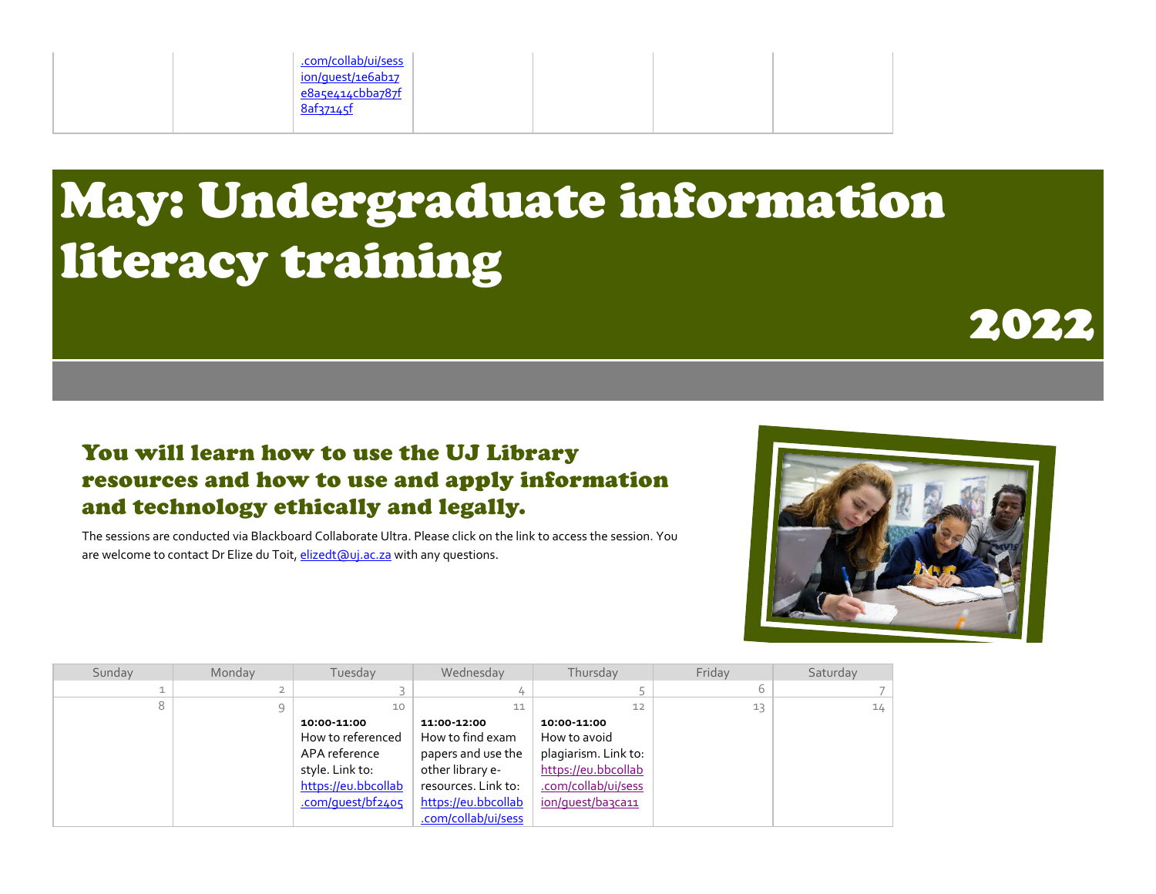

## May: Undergraduate information literacy training



## You will learn how to use the UJ Library resources and how to use and apply information and technology ethically and legally.

The sessions are conducted via Blackboard Collaborate Ultra. Please click on the link to access the session. You are welcome to contact Dr Elize du Toit[, elizedt@uj.ac.za](mailto:elizedt@uj.ac.za) with any questions.



| Sunday | Monday       | Tuesday                                                                                                          | Wednesday                                                                                                                                      | Thursday                                                                                                               | Friday | Saturday |
|--------|--------------|------------------------------------------------------------------------------------------------------------------|------------------------------------------------------------------------------------------------------------------------------------------------|------------------------------------------------------------------------------------------------------------------------|--------|----------|
|        |              |                                                                                                                  |                                                                                                                                                |                                                                                                                        |        |          |
|        | $\mathsf{Q}$ | 10                                                                                                               | 11                                                                                                                                             | 12                                                                                                                     | 13     | 14       |
|        |              | 10:00-11:00<br>How to referenced<br>APA reference<br>style. Link to:<br>https://eu.bbcollab<br>.com/quest/bf2405 | 11:00-12:00<br>How to find exam<br>papers and use the<br>other library e-<br>resources. Link to:<br>https://eu.bbcollab<br>.com/collab/ui/sess | 10:00-11:00<br>How to avoid<br>plagiarism. Link to:<br>https://eu.bbcollab<br>.com/collab/ui/sess<br>ion/quest/ba3ca11 |        |          |